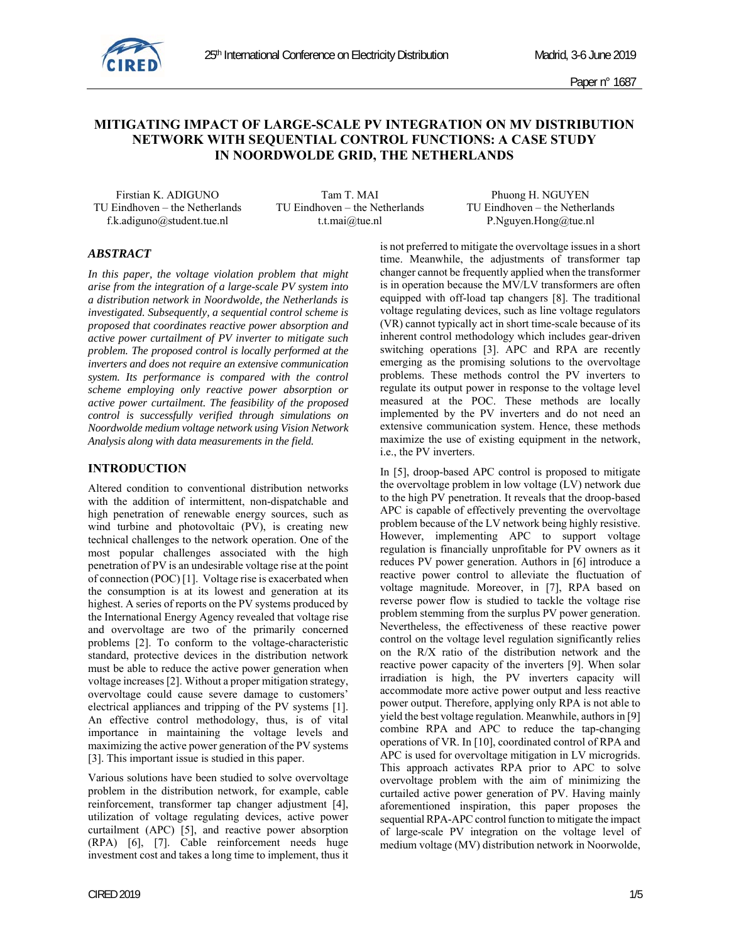

# **MITIGATING IMPACT OF LARGE-SCALE PV INTEGRATION ON MV DISTRIBUTION NETWORK WITH SEQUENTIAL CONTROL FUNCTIONS: A CASE STUDY IN NOORDWOLDE GRID, THE NETHERLANDS**

TU Eindhoven – the Netherlands TU Eindhoven – the Netherlands TU Eindhoven – the Netherlands

f.k.adiguno@student.tue.nl t.t.mai@tue.nl P.Nguyen.Hong@tue.nl

Firstian K. ADIGUNO Tam T. MAI Phuong H. NGUYEN

## *ABSTRACT*

*In this paper, the voltage violation problem that might arise from the integration of a large-scale PV system into a distribution network in Noordwolde, the Netherlands is investigated. Subsequently, a sequential control scheme is proposed that coordinates reactive power absorption and active power curtailment of PV inverter to mitigate such problem. The proposed control is locally performed at the inverters and does not require an extensive communication system. Its performance is compared with the control scheme employing only reactive power absorption or active power curtailment. The feasibility of the proposed control is successfully verified through simulations on Noordwolde medium voltage network using Vision Network Analysis along with data measurements in the field.* 

### **INTRODUCTION**

Altered condition to conventional distribution networks with the addition of intermittent, non-dispatchable and high penetration of renewable energy sources, such as wind turbine and photovoltaic (PV), is creating new technical challenges to the network operation. One of the most popular challenges associated with the high penetration of PV is an undesirable voltage rise at the point of connection (POC) [1]. Voltage rise is exacerbated when the consumption is at its lowest and generation at its highest. A series of reports on the PV systems produced by the International Energy Agency revealed that voltage rise and overvoltage are two of the primarily concerned problems [2]. To conform to the voltage-characteristic standard, protective devices in the distribution network must be able to reduce the active power generation when voltage increases [2]. Without a proper mitigation strategy, overvoltage could cause severe damage to customers' electrical appliances and tripping of the PV systems [1]. An effective control methodology, thus, is of vital importance in maintaining the voltage levels and maximizing the active power generation of the PV systems [3]. This important issue is studied in this paper.

Various solutions have been studied to solve overvoltage problem in the distribution network, for example, cable reinforcement, transformer tap changer adjustment [4], utilization of voltage regulating devices, active power curtailment (APC) [5], and reactive power absorption (RPA) [6], [7]. Cable reinforcement needs huge investment cost and takes a long time to implement, thus it is not preferred to mitigate the overvoltage issues in a short time. Meanwhile, the adjustments of transformer tap changer cannot be frequently applied when the transformer is in operation because the MV/LV transformers are often equipped with off-load tap changers [8]. The traditional voltage regulating devices, such as line voltage regulators (VR) cannot typically act in short time-scale because of its inherent control methodology which includes gear-driven switching operations [3]. APC and RPA are recently emerging as the promising solutions to the overvoltage problems. These methods control the PV inverters to regulate its output power in response to the voltage level measured at the POC. These methods are locally implemented by the PV inverters and do not need an extensive communication system. Hence, these methods maximize the use of existing equipment in the network, i.e., the PV inverters.

In [5], droop-based APC control is proposed to mitigate the overvoltage problem in low voltage (LV) network due to the high PV penetration. It reveals that the droop-based APC is capable of effectively preventing the overvoltage problem because of the LV network being highly resistive. However, implementing APC to support voltage regulation is financially unprofitable for PV owners as it reduces PV power generation. Authors in [6] introduce a reactive power control to alleviate the fluctuation of voltage magnitude. Moreover, in [7], RPA based on reverse power flow is studied to tackle the voltage rise problem stemming from the surplus PV power generation. Nevertheless, the effectiveness of these reactive power control on the voltage level regulation significantly relies on the R/X ratio of the distribution network and the reactive power capacity of the inverters [9]. When solar irradiation is high, the PV inverters capacity will accommodate more active power output and less reactive power output. Therefore, applying only RPA is not able to yield the best voltage regulation. Meanwhile, authors in [9] combine RPA and APC to reduce the tap-changing operations of VR. In [10], coordinated control of RPA and APC is used for overvoltage mitigation in LV microgrids. This approach activates RPA prior to APC to solve overvoltage problem with the aim of minimizing the curtailed active power generation of PV. Having mainly aforementioned inspiration, this paper proposes the sequential RPA-APC control function to mitigate the impact of large-scale PV integration on the voltage level of medium voltage (MV) distribution network in Noorwolde,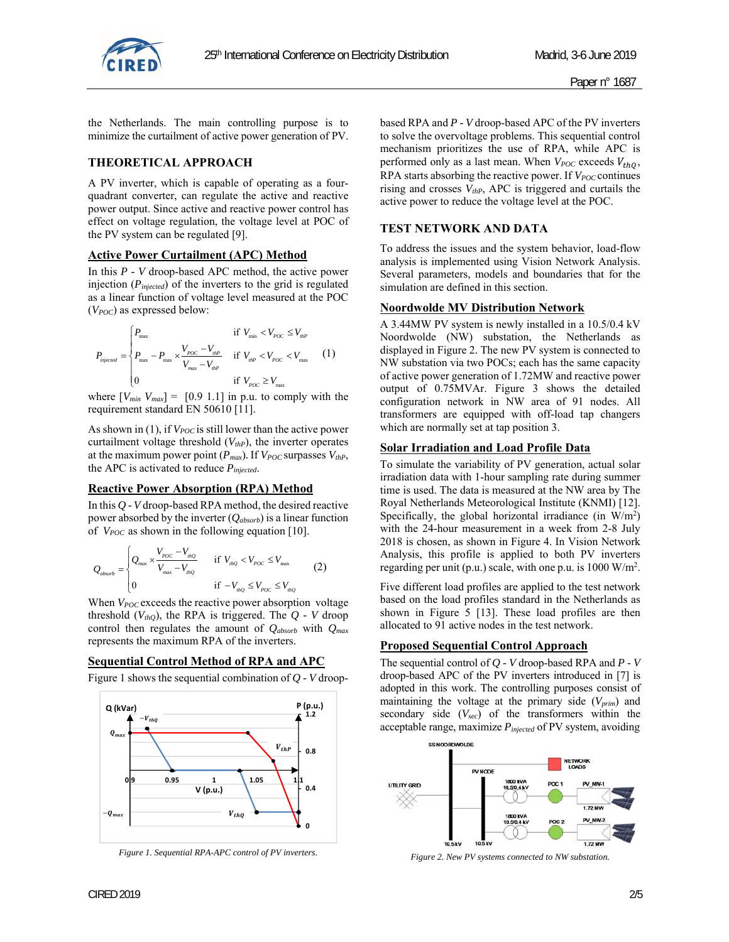

the Netherlands. The main controlling purpose is to minimize the curtailment of active power generation of PV.

### **THEORETICAL APPROACH**

A PV inverter, which is capable of operating as a fourquadrant converter, can regulate the active and reactive power output. Since active and reactive power control has effect on voltage regulation, the voltage level at POC of the PV system can be regulated [9].

### **Active Power Curtailment (APC) Method**

In this *P - V* droop-based APC method, the active power injection (*Pinjected*) of the inverters to the grid is regulated as a linear function of voltage level measured at the POC (*VPOC*) as expressed below:

$$
P_{\text{injected}} = \begin{cases} P_{\text{max}} & \text{if } V_{\text{min}} < V_{p_{OC}} \le V_{\text{thP}} \\ P_{\text{max}} - P_{\text{max}} \times \frac{V_{p_{OC}} - V_{\text{thP}}}{V_{\text{max}} - V_{\text{thP}}} & \text{if } V_{\text{thP}} < V_{p_{OC}} < V_{\text{max}} \\ 0 & \text{if } V_{p_{OC}} \ge V_{\text{max}} \end{cases} \tag{1}
$$

where  $[V_{min} V_{max}] = [0.9 1.1]$  in p.u. to comply with the requirement standard EN 50610 [11].

As shown in (1), if  $V_{POC}$  is still lower than the active power curtailment voltage threshold  $(V_{thP})$ , the inverter operates at the maximum power point  $(P_{max})$ . If  $V_{POC}$  surpasses  $V_{thP}$ , the APC is activated to reduce *Pinjected*.

### **Reactive Power Absorption (RPA) Method**

In this *Q - V* droop-based RPA method, the desired reactive power absorbed by the inverter (*Qabsorb*) is a linear function of  $V_{POC}$  as shown in the following equation [10].

$$
Q_{\text{absorb}} = \begin{cases} Q_{\text{max}} \times \frac{V_{\text{poc}} - V_{\text{thQ}}}{V_{\text{max}} - V_{\text{thQ}}} & \text{if } V_{\text{thQ}} < V_{\text{poc}} \le V_{\text{max}}\\ 0 & \text{if } -V_{\text{thQ}} \le V_{\text{poc}} \le V_{\text{thQ}} \end{cases} \tag{2}
$$

When  $V_{POC}$  exceeds the reactive power absorption voltage threshold  $(V_{thO})$ , the RPA is triggered. The  $Q$  - V droop control then regulates the amount of *Qabsorb* with *Qmax* represents the maximum RPA of the inverters.

#### **Sequential Control Method of RPA and APC**

Figure 1 shows the sequential combination of *Q - V* droop-



*Figure 1. Sequential RPA-APC control of PV inverters.* 

based RPA and *P - V* droop-based APC of the PV inverters to solve the overvoltage problems. This sequential control mechanism prioritizes the use of RPA, while APC is performed only as a last mean. When  $V_{POC}$  exceeds  $V_{thO}$ , RPA starts absorbing the reactive power. If  $V_{POC}$  continues rising and crosses *VthP*, APC is triggered and curtails the active power to reduce the voltage level at the POC.

### **TEST NETWORK AND DATA**

To address the issues and the system behavior, load-flow analysis is implemented using Vision Network Analysis. Several parameters, models and boundaries that for the simulation are defined in this section.

#### **Noordwolde MV Distribution Network**

A 3.44MW PV system is newly installed in a 10.5/0.4 kV Noordwolde (NW) substation, the Netherlands as displayed in Figure 2. The new PV system is connected to NW substation via two POCs; each has the same capacity of active power generation of 1.72MW and reactive power output of 0.75MVAr. Figure 3 shows the detailed configuration network in NW area of 91 nodes. All transformers are equipped with off-load tap changers which are normally set at tap position 3.

#### **Solar Irradiation and Load Profile Data**

To simulate the variability of PV generation, actual solar irradiation data with 1-hour sampling rate during summer time is used. The data is measured at the NW area by The Royal Netherlands Meteorological Institute (KNMI) [12]. Specifically, the global horizontal irradiance (in  $W/m^2$ ) with the 24-hour measurement in a week from 2-8 July 2018 is chosen, as shown in Figure 4. In Vision Network Analysis, this profile is applied to both PV inverters regarding per unit (p.u.) scale, with one p.u. is 1000 W/m<sup>2</sup>.

Five different load profiles are applied to the test network based on the load profiles standard in the Netherlands as shown in Figure 5 [13]. These load profiles are then allocated to 91 active nodes in the test network.

#### **Proposed Sequential Control Approach**

The sequential control of *Q - V* droop-based RPA and *P - V*  droop-based APC of the PV inverters introduced in [7] is adopted in this work. The controlling purposes consist of maintaining the voltage at the primary side (*Vprim*) and secondary side (*Vsec*) of the transformers within the acceptable range, maximize *Pinjected* of PV system, avoiding



*Figure 2. New PV systems connected to NW substation.*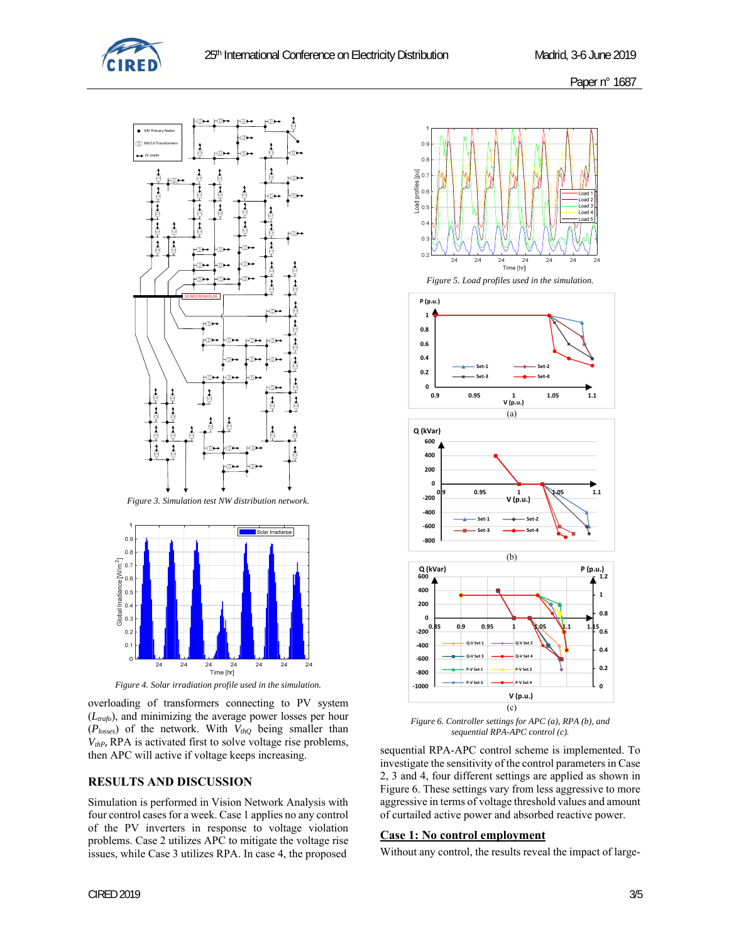





overloading of transformers connecting to PV system (*Ltrafo*), and minimizing the average power losses per hour (*Plosses*) of the network. With *VthQ* being smaller than  $V_{thP}$ , RPA is activated first to solve voltage rise problems, then APC will active if voltage keeps increasing.

### **RESULTS AND DISCUSSION**

Simulation is performed in Vision Network Analysis with four control cases for a week. Case 1 applies no any control of the PV inverters in response to voltage violation problems. Case 2 utilizes APC to mitigate the voltage rise issues, while Case 3 utilizes RPA. In case 4, the proposed



*Figure 6. Controller settings for APC (a), RPA (b), and sequential RPA-APC control (c).*

sequential RPA-APC control scheme is implemented. To investigate the sensitivity of the control parameters in Case 2, 3 and 4, four different settings are applied as shown in Figure 6. These settings vary from less aggressive to more aggressive in terms of voltage threshold values and amount of curtailed active power and absorbed reactive power.

#### **Case 1: No control employment**

Without any control, the results reveal the impact of large-

 $0$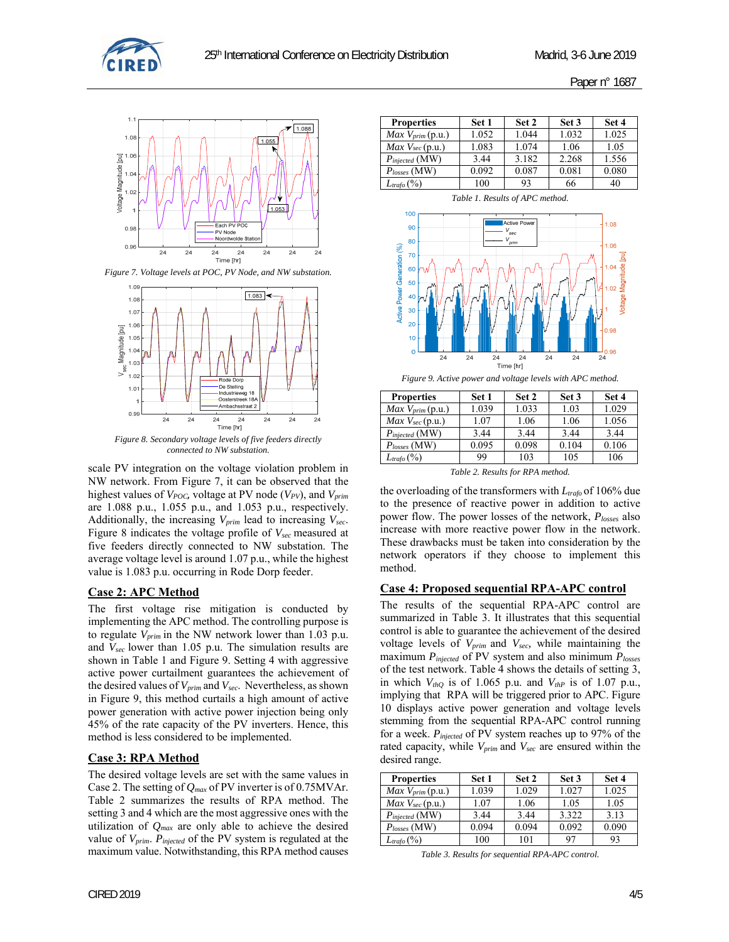



*Figure 7. Voltage levels at POC, PV Node, and NW substation.* 



*Figure 8. Secondary voltage levels of five feeders directly connected to NW substation.* 

scale PV integration on the voltage violation problem in NW network. From Figure 7, it can be observed that the highest values of *V<sub>POC*</sub>, voltage at PV node (*V<sub>PV</sub>*), and *V<sub>prim</sub>* are 1.088 p.u., 1.055 p.u., and 1.053 p.u., respectively. Additionally, the increasing *Vprim* lead to increasing *Vsec*. Figure 8 indicates the voltage profile of *Vsec* measured at five feeders directly connected to NW substation. The average voltage level is around 1.07 p.u., while the highest value is 1.083 p.u. occurring in Rode Dorp feeder.

### **Case 2: APC Method**

The first voltage rise mitigation is conducted by implementing the APC method. The controlling purpose is to regulate *Vprim* in the NW network lower than 1.03 p.u. and *Vsec* lower than 1.05 p.u. The simulation results are shown in Table 1 and Figure 9. Setting 4 with aggressive active power curtailment guarantees the achievement of the desired values of *Vprim* and *Vsec*. Nevertheless, as shown in Figure 9, this method curtails a high amount of active power generation with active power injection being only 45% of the rate capacity of the PV inverters. Hence, this method is less considered to be implemented.

### **Case 3: RPA Method**

The desired voltage levels are set with the same values in Case 2. The setting of *Qmax* of PV inverter is of 0.75MVAr. Table 2 summarizes the results of RPA method. The setting 3 and 4 which are the most aggressive ones with the utilization of *Qmax* are only able to achieve the desired value of *Vprim*. *Pinjected* of the PV system is regulated at the maximum value. Notwithstanding, this RPA method causes

| <b>Properties</b>            | Set 1 | Set 2 | Set 3 | Set 4 |
|------------------------------|-------|-------|-------|-------|
| Max V <sub>prim</sub> (p.u.) | 1.052 | 1.044 | 1.032 | 1.025 |
| $Max$ $Vsec$ (p.u.)          | 1.083 | 1.074 | 1.06  | 1.05  |
| $P_{injected}$ (MW)          | 3.44  | 3.182 | 2.268 | 1.556 |
| $P_{losses}$ (MW)            | 0.092 | 0.087 | 0.081 | 0.080 |
| $L_{trafo}$ (%)              | 100   | 93    | 66    | 40    |

*Table 1. Results of APC method.* 



| Figure 9. Active power and voltage levels with APC method. |  |  |
|------------------------------------------------------------|--|--|
|                                                            |  |  |

| <b>Properties</b>                           | Set 1 | Set 2 | Set 3 | Set 4 |  |  |
|---------------------------------------------|-------|-------|-------|-------|--|--|
| $Max V_{prim}(p.u.)$                        | 1.039 | 1.033 | 1.03  | 1.029 |  |  |
| $Max$ $Vsec$ (p.u.)                         | 1.07  | 1.06  | 1.06  | 1.056 |  |  |
| $P_{injected}$ (MW)                         | 3.44  | 3.44  | 3.44  | 3.44  |  |  |
| $P_{losses}$ (MW)                           | 0.095 | 0.098 | 0.104 | 0.106 |  |  |
| $L_{trafo}$ $(\%)$                          | 99    | 103   | 105   | 106   |  |  |
| $T_2 h l_2$ $\infty$ Decepts for DDA mothed |       |       |       |       |  |  |

*Table 2. Results for RPA method.* 

the overloading of the transformers with *L*<sub>trafo</sub> of 106% due to the presence of reactive power in addition to active power flow. The power losses of the network, *Plosses* also increase with more reactive power flow in the network. These drawbacks must be taken into consideration by the network operators if they choose to implement this method.

### **Case 4: Proposed sequential RPA-APC control**

The results of the sequential RPA-APC control are summarized in Table 3. It illustrates that this sequential control is able to guarantee the achievement of the desired voltage levels of *Vprim* and *Vsec,* while maintaining the maximum *Pinjected* of PV system and also minimum *Plosses* of the test network. Table 4 shows the details of setting 3, in which  $V_{thQ}$  is of 1.065 p.u. and  $V_{thP}$  is of 1.07 p.u., implying that RPA will be triggered prior to APC. Figure 10 displays active power generation and voltage levels stemming from the sequential RPA-APC control running for a week. *Pinjected* of PV system reaches up to 97% of the rated capacity, while  $V_{prim}$  and  $V_{sec}$  are ensured within the desired range.

| <b>Properties</b>    | Set 1 | Set 2 | Set 3 | Set 4 |
|----------------------|-------|-------|-------|-------|
| $Max V_{prim}(p.u.)$ | 1.039 | 1.029 | 1.027 | 1.025 |
| Max Vsec (p.u.)      | 1.07  | 1.06  | 1.05  | 1.05  |
| $P_{injected}$ (MW)  | 3.44  | 3.44  | 3.322 | 3.13  |
| $P_{losses}$ (MW)    | 0.094 | 0.094 | 0.092 | 0.090 |
| $L_{trafo}$ (%)      | 100   | 101   | 97    | 93    |

*Table 3. Results for sequential RPA-APC control.*